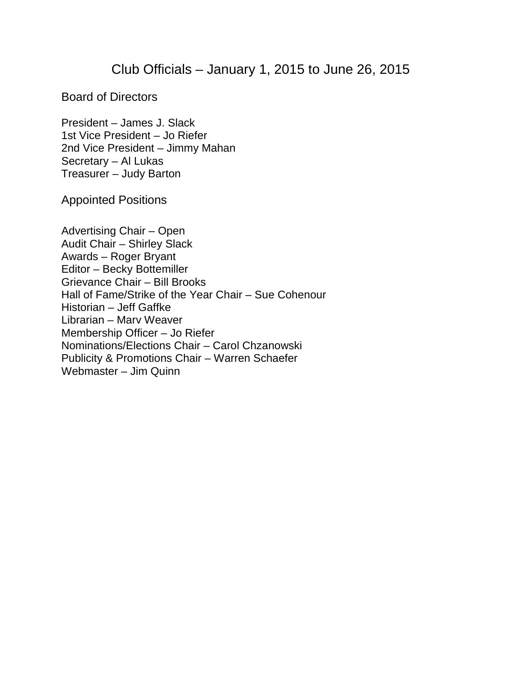## Club Officials – January 1, 2015 to June 26, 2015

Board of Directors

President – James J. Slack 1st Vice President – Jo Riefer 2nd Vice President – Jimmy Mahan Secretary – Al Lukas Treasurer – Judy Barton

Appointed Positions

Advertising Chair – Open Audit Chair – Shirley Slack Awards – Roger Bryant Editor – Becky Bottemiller Grievance Chair – Bill Brooks Hall of Fame/Strike of the Year Chair – Sue Cohenour Historian – Jeff Gaffke Librarian – Marv Weaver Membership Officer – Jo Riefer Nominations/Elections Chair – Carol Chzanowski Publicity & Promotions Chair – Warren Schaefer Webmaster – Jim Quinn